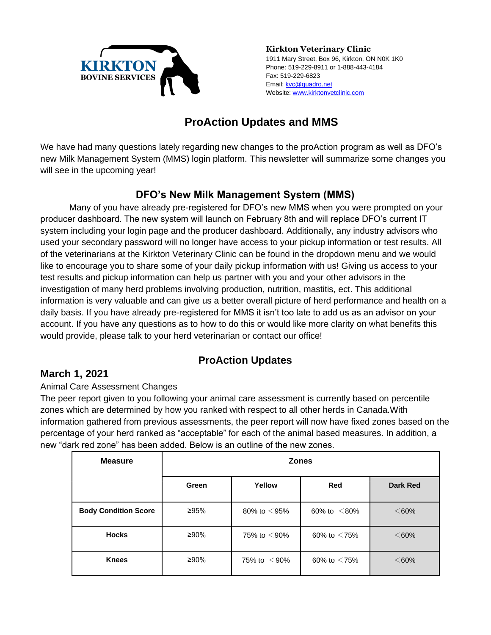

**Kirkton Veterinary Clinic** 1911 Mary Street, Box 96, Kirkton, ON N0K 1K0 Phone: 519-229-8911 or 1-888-443-4184 Fax: 519-229-6823 Email[: kvc@quadro.net](mailto:kvc@quadro.net) Website: [www.kirktonvetclinic.com](http://www.kirktonvetclinic.com/)

# **ProAction Updates and MMS**

We have had many questions lately regarding new changes to the proAction program as well as DFO's new Milk Management System (MMS) login platform. This newsletter will summarize some changes you will see in the upcoming year!

# **DFO's New Milk Management System (MMS)**

Many of you have already pre-registered for DFO's new MMS when you were prompted on your producer dashboard. The new system will launch on February 8th and will replace DFO's current IT system including your login page and the producer dashboard. Additionally, any industry advisors who used your secondary password will no longer have access to your pickup information or test results. All of the veterinarians at the Kirkton Veterinary Clinic can be found in the dropdown menu and we would like to encourage you to share some of your daily pickup information with us! Giving us access to your test results and pickup information can help us partner with you and your other advisors in the investigation of many herd problems involving production, nutrition, mastitis, ect. This additional information is very valuable and can give us a better overall picture of herd performance and health on a daily basis. If you have already pre-registered for MMS it isn't too late to add us as an advisor on your account. If you have any questions as to how to do this or would like more clarity on what benefits this would provide, please talk to your herd veterinarian or contact our office!

## **ProAction Updates**

### **March 1, 2021**

Animal Care Assessment Changes

The peer report given to you following your animal care assessment is currently based on percentile zones which are determined by how you ranked with respect to all other herds in Canada.With information gathered from previous assessments, the peer report will now have fixed zones based on the percentage of your herd ranked as "acceptable" for each of the animal based measures. In addition, a new "dark red zone" has been added. Below is an outline of the new zones.

| <b>Measure</b>              | <b>Zones</b> |                    |                    |                 |  |
|-----------------------------|--------------|--------------------|--------------------|-----------------|--|
|                             | Green        | Yellow             | <b>Red</b>         | <b>Dark Red</b> |  |
| <b>Body Condition Score</b> | ≥95%         | 80% to $\leq$ 95%  | 60% to $\leq 80\%$ | $<60\%$         |  |
| <b>Hocks</b>                | ≥90%         | 75% to $\leq$ 90%  | 60% to $<$ 75%     | $<60\%$         |  |
| <b>Knees</b>                | ≥90%         | 75% to $\leq 90\%$ | 60% to $<$ 75%     | $<60\%$         |  |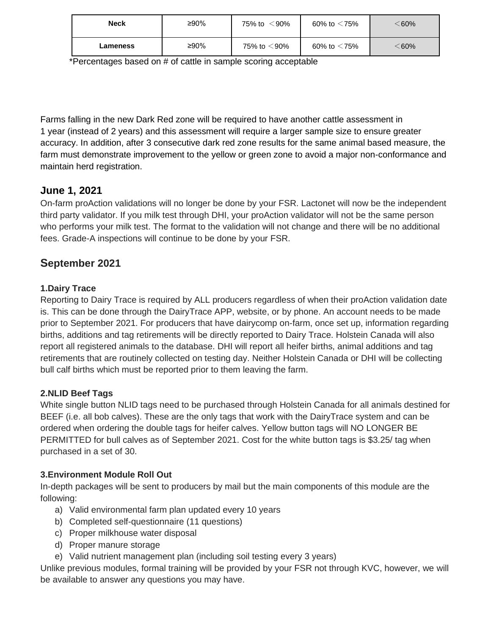| <b>Neck</b> | ≥90% | 75% to $\leq$ 90% | 60% to $<$ 75% | $<$ 60% $\,$ |
|-------------|------|-------------------|----------------|--------------|
| Lameness    | ≥90% | 75% to $<$ 90%    | 60% to $<$ 75% | $<$ 60%      |

\*Percentages based on # of cattle in sample scoring acceptable

Farms falling in the new Dark Red zone will be required to have another cattle assessment in 1 year (instead of 2 years) and this assessment will require a larger sample size to ensure greater accuracy. In addition, after 3 consecutive dark red zone results for the same animal based measure, the farm must demonstrate improvement to the yellow or green zone to avoid a major non-conformance and maintain herd registration.

### **June 1, 2021**

On-farm proAction validations will no longer be done by your FSR. Lactonet will now be the independent third party validator. If you milk test through DHI, your proAction validator will not be the same person who performs your milk test. The format to the validation will not change and there will be no additional fees. Grade-A inspections will continue to be done by your FSR.

## **September 2021**

### **1.Dairy Trace**

Reporting to Dairy Trace is required by ALL producers regardless of when their proAction validation date is. This can be done through the DairyTrace APP, website, or by phone. An account needs to be made prior to September 2021. For producers that have dairycomp on-farm, once set up, information regarding births, additions and tag retirements will be directly reported to Dairy Trace. Holstein Canada will also report all registered animals to the database. DHI will report all heifer births, animal additions and tag retirements that are routinely collected on testing day. Neither Holstein Canada or DHI will be collecting bull calf births which must be reported prior to them leaving the farm.

#### **2.NLID Beef Tags**

White single button NLID tags need to be purchased through Holstein Canada for all animals destined for BEEF (i.e. all bob calves). These are the only tags that work with the DairyTrace system and can be ordered when ordering the double tags for heifer calves. Yellow button tags will NO LONGER BE PERMITTED for bull calves as of September 2021. Cost for the white button tags is \$3.25/ tag when purchased in a set of 30.

#### **3.Environment Module Roll Out**

In-depth packages will be sent to producers by mail but the main components of this module are the following:

- a) Valid environmental farm plan updated every 10 years
- b) Completed self-questionnaire (11 questions)
- c) Proper milkhouse water disposal
- d) Proper manure storage
- e) Valid nutrient management plan (including soil testing every 3 years)

Unlike previous modules, formal training will be provided by your FSR not through KVC, however, we will be available to answer any questions you may have.